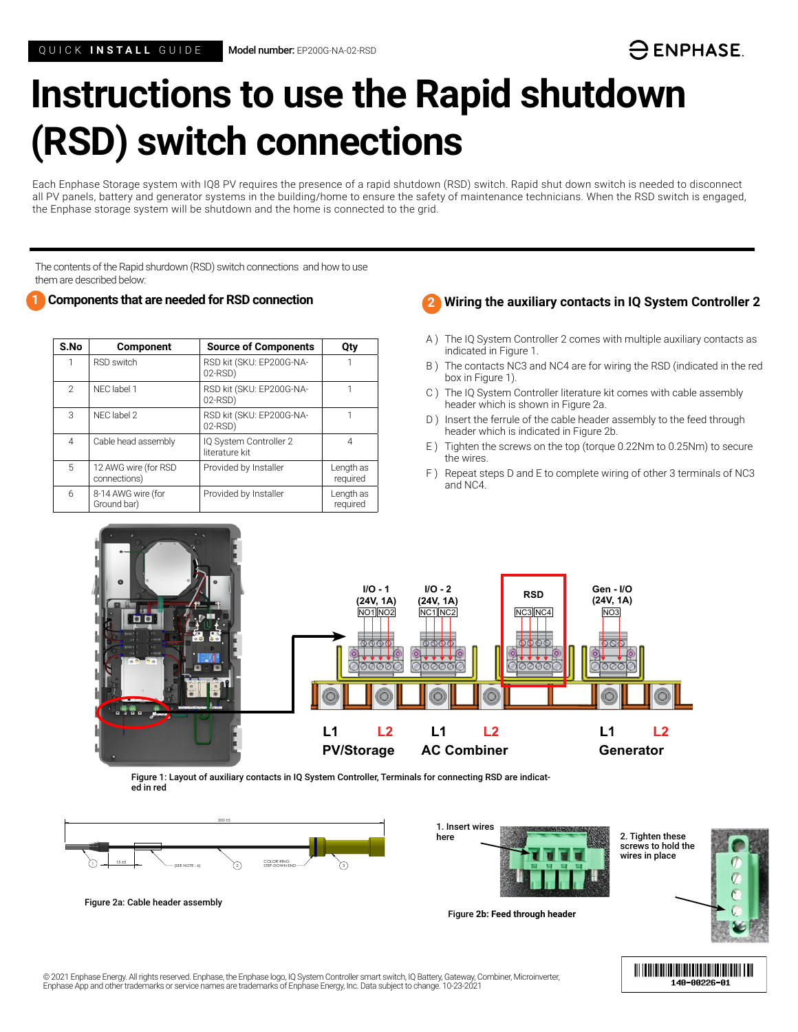# **Instructions to use the Rapid shutdown (RSD) switch connections**

Each Enphase Storage system with IQ8 PV requires the presence of a rapid shutdown (RSD) switch. Rapid shut down switch is needed to disconnect all PV panels, battery and generator systems in the building/home to ensure the safety of maintenance technicians. When the RSD switch is engaged, the Enphase storage system will be shutdown and the home is connected to the grid.

The contents of the Rapid shurdown (RSD) switch connections and how to use them are described below:

## **Components that are needed for RSD connection 1 2**

| S.No           | <b>Component</b>                     | <b>Source of Components</b>              | Qty                   |
|----------------|--------------------------------------|------------------------------------------|-----------------------|
| 1              | <b>RSD switch</b>                    | RSD kit (SKU: EP200G-NA-<br>02-RSD)      |                       |
| $\overline{2}$ | NEC label 1                          | RSD kit (SKU: EP200G-NA-<br>02-RSD)      |                       |
| 3              | NFC label 2                          | RSD kit (SKU: EP200G-NA-<br>02-RSD)      |                       |
| 4              | Cable head assembly                  | IQ System Controller 2<br>literature kit | 4                     |
| 5              | 12 AWG wire (for RSD<br>connections) | Provided by Installer                    | Length as<br>required |
| 6              | 8-14 AWG wire (for<br>Ground bar)    | Provided by Installer                    | Length as<br>required |



- A ) The IQ System Controller 2 comes with multiple auxiliary contacts as indicated in Figure 1.
- B ) The contacts NC3 and NC4 are for wiring the RSD (indicated in the red box in Figure 1).
- C ) The IQ System Controller literature kit comes with cable assembly header which is shown in Figure 2a.
- D ) Insert the ferrule of the cable header assembly to the feed through header which is indicated in Figure 2b.
- E ) Tighten the screws on the top (torque 0.22Nm to 0.25Nm) to secure the wires.
- F ) Repeat steps D and E to complete wiring of other 3 terminals of NC3 and NC4.



Figure 1: Layout of auxiliary contacts in IQ System Controller, Terminals for connecting RSD are indicated in red



Figure 2a: Cable header assembly



Figure **2b: Feed through header**



140-00226-01

2. Tighten these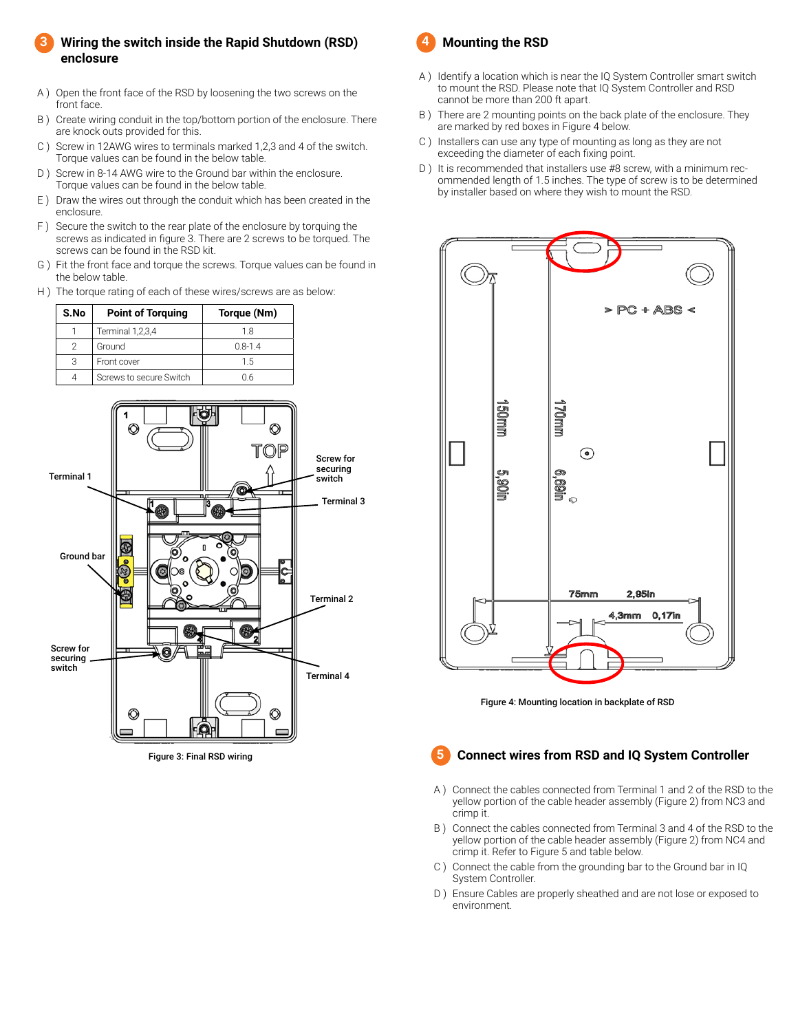#### **Wiring the switch inside the Rapid Shutdown (RSD) enclosure 3**

- A ) Open the front face of the RSD by loosening the two screws on the front face.
- B ) Create wiring conduit in the top/bottom portion of the enclosure. There are knock outs provided for this.
- C ) Screw in 12AWG wires to terminals marked 1,2,3 and 4 of the switch. Torque values can be found in the below table.
- D) Screw in 8-14 AWG wire to the Ground bar within the enclosure. Torque values can be found in the below table.
- E ) Draw the wires out through the conduit which has been created in the enclosure.
- F ) Secure the switch to the rear plate of the enclosure by torquing the screws as indicated in figure 3. There are 2 screws to be torqued. The screws can be found in the RSD kit.
- G ) Fit the front face and torque the screws. Torque values can be found in the below table.
- H ) The torque rating of each of these wires/screws are as below:

| S.No | <b>Point of Torguing</b> | Torque (Nm) |
|------|--------------------------|-------------|
|      | Terminal 1,2,3,4         | 18          |
| 2    | Ground                   | $0.8 - 1.4$ |
|      | Front cover              | 1.5         |
|      | Screws to secure Switch  | Ი Რ         |



Figure 3: Final RSD wiring



- A ) Identify a location which is near the IQ System Controller smart switch to mount the RSD. Please note that IQ System Controller and RSD cannot be more than 200 ft apart.
- B ) There are 2 mounting points on the back plate of the enclosure. They are marked by red boxes in Figure 4 below.
- C ) Installers can use any type of mounting as long as they are not exceeding the diameter of each fixing point.
- D) It is recommended that installers use #8 screw, with a minimum recommended length of 1.5 inches. The type of screw is to be determined by installer based on where they wish to mount the RSD.



Figure 4: Mounting location in backplate of RSD

#### **Connect wires from RSD and IQ System Controller 5**

- A ) Connect the cables connected from Terminal 1 and 2 of the RSD to the yellow portion of the cable header assembly (Figure 2) from NC3 and crimp it.
- B ) Connect the cables connected from Terminal 3 and 4 of the RSD to the yellow portion of the cable header assembly (Figure 2) from NC4 and crimp it. Refer to Figure 5 and table below.
- C ) Connect the cable from the grounding bar to the Ground bar in IQ System Controller.
- D) Ensure Cables are properly sheathed and are not lose or exposed to environment.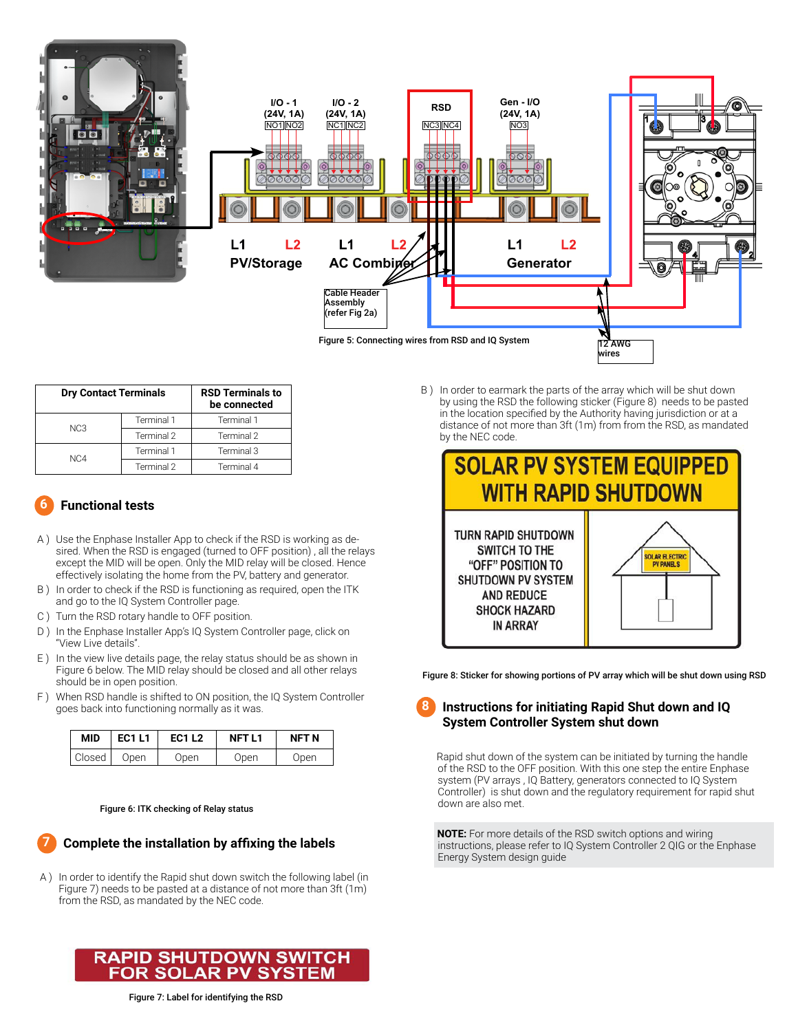

| <b>Dry Contact Terminals</b> |            | <b>RSD Terminals to</b><br>be connected |
|------------------------------|------------|-----------------------------------------|
| NC <sub>3</sub>              | Terminal 1 | Terminal 1                              |
|                              | Terminal 2 | Terminal 2                              |
| N <sub>C</sub> 4             | Terminal 1 | Terminal 3                              |
|                              | Terminal 2 | Terminal 4                              |

#### **Functional tests 6**

- A ) Use the Enphase Installer App to check if the RSD is working as desired. When the RSD is engaged (turned to OFF position) , all the relays except the MID will be open. Only the MID relay will be closed. Hence effectively isolating the home from the PV, battery and generator.
- B ) In order to check if the RSD is functioning as required, open the ITK and go to the IQ System Controller page.
- C ) Turn the RSD rotary handle to OFF position.
- D) In the Enphase Installer App's IQ System Controller page, click on "View Live details".
- E ) In the view live details page, the relay status should be as shown in Figure 6 below. The MID relay should be closed and all other relays should be in open position.
- F ) When RSD handle is shifted to ON position, the IQ System Controller goes back into functioning normally as it was.

| <b>MID</b> | <b>EC1L1</b> | <b>EC1 L2</b> | <b>NFTL1</b> | NFT N |
|------------|--------------|---------------|--------------|-------|
| Closed     | Open         | Open          | Open         | Open  |

#### Figure 6: ITK checking of Relay status

#### **Complete the installation by affixing the labels 7**

A ) In order to identify the Rapid shut down switch the following label (in Figure 7) needs to be pasted at a distance of not more than 3ft (1m) from the RSD, as mandated by the NEC code.



B ) In order to earmark the parts of the array which will be shut down by using the RSD the following sticker (Figure 8) needs to be pasted in the location specified by the Authority having jurisdiction or at a distance of not more than 3ft (1m) from from the RSD, as mandated by the NEC code.



Figure 8: Sticker for showing portions of PV array which will be shut down using RSD

#### **Instructions for initiating Rapid Shut down and IQ System Controller System shut down 8**

 Rapid shut down of the system can be initiated by turning the handle of the RSD to the OFF position. With this one step the entire Enphase system (PV arrays , IQ Battery, generators connected to IQ System Controller) is shut down and the regulatory requirement for rapid shut down are also met.

 **NOTE:** For more details of the RSD switch options and wiring instructions, please refer to IQ System Controller 2 QIG or the Enphase Energy System design guide